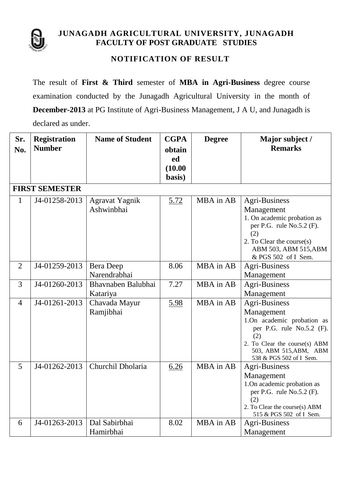

## **JUNAGADH AGRICULTURAL UNIVERSITY, JUNAGADH FACULTY OF POST GRADUATE STUDIES**

## **NOTIFICATION OF RESULT**

The result of **First & Third** semester of **MBA in Agri-Business** degree course examination conducted by the Junagadh Agricultural University in the month of **December-2013** at PG Institute of Agri-Business Management, J A U, and Junagadh is declared as under.

| Sr.<br>No.     | <b>Registration</b><br><b>Number</b> | <b>Name of Student</b>              | <b>CGPA</b><br>obtain<br>ed<br>(10.00)<br>basis) | <b>Degree</b> | Major subject /<br><b>Remarks</b>                                                                                                                                                          |  |  |  |  |
|----------------|--------------------------------------|-------------------------------------|--------------------------------------------------|---------------|--------------------------------------------------------------------------------------------------------------------------------------------------------------------------------------------|--|--|--|--|
|                | <b>FIRST SEMESTER</b>                |                                     |                                                  |               |                                                                                                                                                                                            |  |  |  |  |
| $\mathbf{1}$   | J4-01258-2013                        | <b>Agravat Yagnik</b><br>Ashwinbhai | 5.72                                             | MBA in AB     | Agri-Business<br>Management<br>1. On academic probation as<br>per P.G. rule $No.5.2$ (F).<br>(2)<br>2. To Clear the course $(s)$<br>ABM 503, ABM 515, ABM<br>& PGS 502 of I Sem.           |  |  |  |  |
| $\overline{2}$ | J4-01259-2013                        | Bera Deep<br>Narendrabhai           | 8.06                                             | MBA in AB     | Agri-Business<br>Management                                                                                                                                                                |  |  |  |  |
| 3              | J4-01260-2013                        | Bhavnaben Balubhai<br>Katariya      | 7.27                                             | MBA in AB     | Agri-Business<br>Management                                                                                                                                                                |  |  |  |  |
| $\overline{4}$ | J4-01261-2013                        | Chavada Mayur<br>Ramjibhai          | 5.98                                             | MBA in AB     | <b>Agri-Business</b><br>Management<br>1.On academic probation as<br>per P.G. rule No.5.2 (F).<br>(2)<br>2. To Clear the course(s) ABM<br>503, ABM 515, ABM, ABM<br>538 & PGS 502 of I Sem. |  |  |  |  |
| 5              | J4-01262-2013                        | Churchil Dholaria                   | 6.26                                             | MBA in AB     | Agri-Business<br>Management<br>1. On academic probation as<br>per P.G. rule $No.5.2$ (F).<br>(2)<br>2. To Clear the course(s) ABM<br>515 & PGS 502 of I Sem.                               |  |  |  |  |
| 6              | J4-01263-2013                        | Dal Sabirbhai<br>Hamirbhai          | 8.02                                             | MBA in AB     | Agri-Business<br>Management                                                                                                                                                                |  |  |  |  |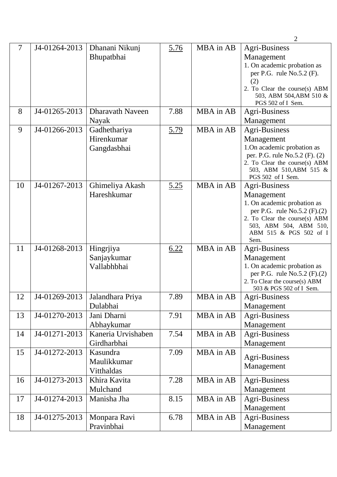|    |               |                                           |             |           | $\overline{2}$                                                                                                                                                                          |
|----|---------------|-------------------------------------------|-------------|-----------|-----------------------------------------------------------------------------------------------------------------------------------------------------------------------------------------|
| 7  | J4-01264-2013 | Dhanani Nikunj<br>Bhupatbhai              | 5.76        | MBA in AB | Agri-Business<br>Management<br>1. On academic probation as<br>per P.G. rule $No.5.2$ (F).<br>(2)<br>2. To Clear the course(s) ABM<br>503, ABM 504, ABM 510 &<br>PGS 502 of I Sem.       |
| 8  | J4-01265-2013 | <b>Dharavath Naveen</b><br>Nayak          | 7.88        | MBA in AB | Agri-Business<br>Management                                                                                                                                                             |
| 9  | J4-01266-2013 | Gadhethariya<br>Hirenkumar<br>Gangdasbhai | <u>5.79</u> | MBA in AB | Agri-Business<br>Management<br>1.On academic probation as<br>per. P.G. rule No.5.2 (F). (2)<br>2. To Clear the course(s) ABM<br>503, ABM 510, ABM 515 &<br>PGS 502 of I Sem.            |
| 10 | J4-01267-2013 | Ghimeliya Akash<br>Hareshkumar            | 5.25        | MBA in AB | Agri-Business<br>Management<br>1. On academic probation as<br>per P.G. rule No.5.2 (F).(2)<br>2. To Clear the course(s) ABM<br>503, ABM 504, ABM 510,<br>ABM 515 & PGS 502 of I<br>Sem. |
| 11 | J4-01268-2013 | Hingrjiya<br>Sanjaykumar<br>Vallabhbhai   | 6.22        | MBA in AB | Agri-Business<br>Management<br>1. On academic probation as<br>per P.G. rule $No.5.2$ (F).(2)<br>2. To Clear the course(s) ABM<br>503 & PGS 502 of I Sem.                                |
| 12 | J4-01269-2013 | Jalandhara Priya<br>Dulabhai              | 7.89        | MBA in AB | Agri-Business<br>Management                                                                                                                                                             |
| 13 | J4-01270-2013 | Jani Dharni<br>Abhaykumar                 | 7.91        | MBA in AB | <b>Agri-Business</b><br>Management                                                                                                                                                      |
| 14 | J4-01271-2013 | Kaneria Urvishaben<br>Girdharbhai         | 7.54        | MBA in AB | Agri-Business<br>Management                                                                                                                                                             |
| 15 | J4-01272-2013 | Kasundra<br>Maulikkumar<br>Vitthaldas     | 7.09        | MBA in AB | Agri-Business<br>Management                                                                                                                                                             |
| 16 | J4-01273-2013 | Khira Kavita<br>Mulchand                  | 7.28        | MBA in AB | <b>Agri-Business</b><br>Management                                                                                                                                                      |
| 17 | J4-01274-2013 | Manisha Jha                               | 8.15        | MBA in AB | <b>Agri-Business</b><br>Management                                                                                                                                                      |
| 18 | J4-01275-2013 | Monpara Ravi<br>Pravinbhai                | 6.78        | MBA in AB | <b>Agri-Business</b><br>Management                                                                                                                                                      |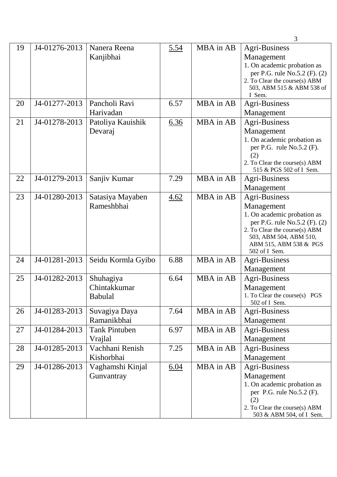|    |               |                      |      |           | 3                                        |
|----|---------------|----------------------|------|-----------|------------------------------------------|
| 19 | J4-01276-2013 | Nanera Reena         | 5.54 | MBA in AB | Agri-Business                            |
|    |               | Kanjibhai            |      |           | Management                               |
|    |               |                      |      |           | 1. On academic probation as              |
|    |               |                      |      |           | per P.G. rule No.5.2 (F). (2)            |
|    |               |                      |      |           | 2. To Clear the course(s) ABM            |
|    |               |                      |      |           | 503, ABM 515 & ABM 538 of<br>I Sem.      |
| 20 | J4-01277-2013 | Pancholi Ravi        | 6.57 | MBA in AB | <b>Agri-Business</b>                     |
|    |               | Harivadan            |      |           | Management                               |
| 21 | J4-01278-2013 | Patoliya Kauishik    | 6.36 | MBA in AB | <b>Agri-Business</b>                     |
|    |               | Devaraj              |      |           | Management                               |
|    |               |                      |      |           | 1. On academic probation as              |
|    |               |                      |      |           | per P.G. rule $No.5.2$ (F).              |
|    |               |                      |      |           | (2)                                      |
|    |               |                      |      |           | 2. To Clear the course(s) ABM            |
| 22 | J4-01279-2013 | Sanjiv Kumar         | 7.29 | MBA in AB | 515 & PGS 502 of I Sem.<br>Agri-Business |
|    |               |                      |      |           | Management                               |
| 23 | J4-01280-2013 | Satasiya Mayaben     | 4.62 | MBA in AB | <b>Agri-Business</b>                     |
|    |               | Rameshbhai           |      |           | Management                               |
|    |               |                      |      |           | 1. On academic probation as              |
|    |               |                      |      |           | per P.G. rule No.5.2 (F). (2)            |
|    |               |                      |      |           | 2. To Clear the course(s) ABM            |
|    |               |                      |      |           | 503, ABM 504, ABM 510,                   |
|    |               |                      |      |           | ABM 515, ABM 538 & PGS<br>502 of I Sem.  |
| 24 | J4-01281-2013 | Seidu Kormla Gyibo   | 6.88 | MBA in AB | Agri-Business                            |
|    |               |                      |      |           | Management                               |
| 25 | J4-01282-2013 | Shuhagiya            | 6.64 | MBA in AB | <b>Agri-Business</b>                     |
|    |               | Chintakkumar         |      |           | Management                               |
|    |               | <b>Babulal</b>       |      |           | 1. To Clear the course(s) PGS            |
|    |               |                      |      |           | 502 of I Sem.                            |
| 26 | J4-01283-2013 | Suvagiya Daya        | 7.64 | MBA in AB | Agri-Business                            |
|    |               | Ramanikbhai          |      |           | Management                               |
| 27 | J4-01284-2013 | <b>Tank Pintuben</b> | 6.97 | MBA in AB | <b>Agri-Business</b>                     |
|    |               | Vrajlal              |      |           | Management                               |
| 28 | J4-01285-2013 | Vachhani Renish      | 7.25 | MBA in AB | <b>Agri-Business</b>                     |
|    |               | Kishorbhai           |      |           | Management                               |
| 29 | J4-01286-2013 | Vaghamshi Kinjal     | 6.04 | MBA in AB | Agri-Business                            |
|    |               | Gunvantray           |      |           | Management                               |
|    |               |                      |      |           | 1. On academic probation as              |
|    |               |                      |      |           | per P.G. rule $No.5.2$ (F).<br>(2)       |
|    |               |                      |      |           | 2. To Clear the course(s) ABM            |
|    |               |                      |      |           | 503 & ABM 504, of I Sem.                 |